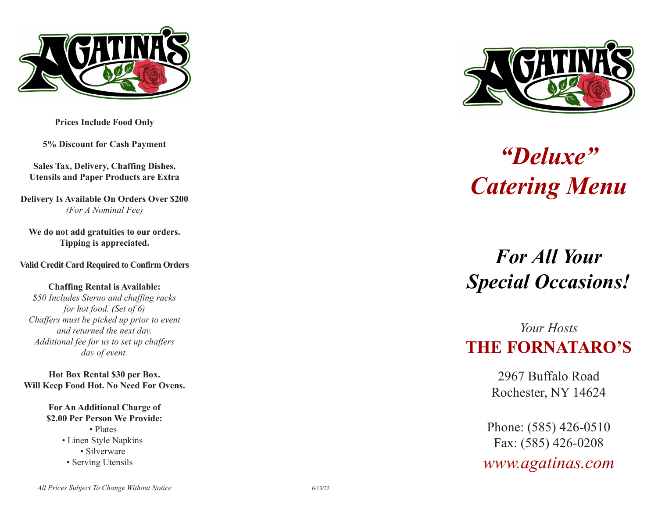

**Prices Include Food Only**

**5% Discount for Cash Payment**

**Sales Tax, Delivery, Chaffing Dishes, Utensils and Paper Products are Extra**

**Delivery Is Available On Orders Over \$200** *(For A Nominal Fee)*

**We do not add gratuities to our orders. Tipping is appreciated.**

**Valid Credit Card Required to Confirm Orders**

**Chaffing Rental is Available:** *\$50 Includes Sterno and chaffing racks for hot food. (Set of 6) Chaffers must be picked up prior to event and returned the next day. Additional fee for us to set up chaffers day of event.*

**Hot Box Rental \$30 per Box. Will Keep Food Hot. No Need For Ovens.**

> **For An Additional Charge of \$2.00 Per Person We Provide:**

- Plates • Linen Style Napkins • Silverware
- Serving Utensils



# *"Deluxe" Catering Menu*

## *For All Your Special Occasions!*

## *Your Hosts* **THE FORNATARO'S**

2967 Buffalo Road Rochester, NY 14624

Phone: (585) 426-0510 Fax: (585) 426-0208

*www.agatinas.com*